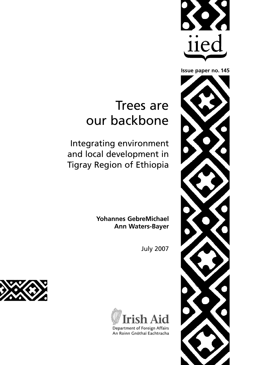

# Trees are our backbone

Integrating environment and local development in Tigray Region of Ethiopia

> **Yohannes GebreMichael Ann Waters-Bayer**

> > July 2007



Department of Foreign Affairs An Roinn Gnóthaí Eachtracha



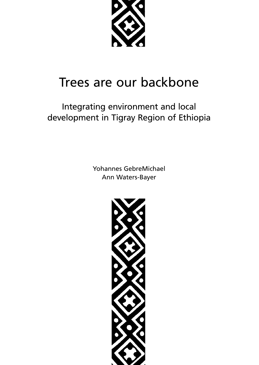

# Trees are our backbone

# Integrating environment and local development in Tigray Region of Ethiopia

Yohannes GebreMichael Ann Waters-Bayer

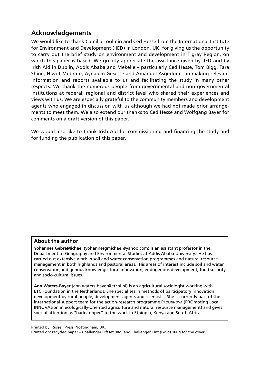### **Acknowledgements**

We would like to thank Camilla Toulmin and Ced Hesse from the International Institute for Environment and Development (IIED) in London, UK, for giving us the opportunity to carry out the brief study on environment and development in Tigray Region, on which this paper is based. We greatly appreciate the assistance given by IIED and by Irish Aid in Dublin, Addis Ababa and Mekelle – particularly Ced Hesse, Tom Bigg, Tara Shine, Hiwot Mebrate, Aynalem Gesesse and Amanuel Asgedom – in making relevant information and reports available to us and facilitating the study in many other respects. We thank the numerous people from governmental and non-governmental institutions at federal, regional and district level who shared their experiences and views with us. We are especially grateful to the community members and development agents who engaged in discussion with us although we had not made prior arrangements to meet them. We also extend our thanks to Ced Hesse and Wolfgang Bayer for comments on a draft version of this paper.

We would also like to thank Irish Aid for commissioning and financing the study and for funding the publication of this paper.

#### **About the author**

**Yohannes GebreMichael** (yohannesgmichael@yahoo.com) is an assistant professor in the Department of Geography and Environmental Studies at Addis Ababa University. He has carried out extensive work in soil and water conservation programmes and natural resource management in both highlands and pastoral areas. His areas of interest include soil and water conservation, indigenous knowledge, local innovation, endogenous development, food security and socio-cultural issues.

**Ann Waters-Bayer** (ann.waters-bayer@etcnl.nl) is an agricultural sociologist working with ETC Foundation in the Netherlands. She specialises in methods of participatory innovation development by rural people, development agents and scientists. She is currently part of the international support team for the action-research programme PROLINNOVA (PROmoting Local INNOVAtion in ecologically-oriented agriculture and natural resource management) and gives special attention as "backstopper" to the work in Ethiopia, Kenya and South Africa.

Printed by: Russell Press, Nottingham, UK.

Printed on: recycled paper – Challenger Offset 90g, and Challenger Tint (Gold) 160g for the cover.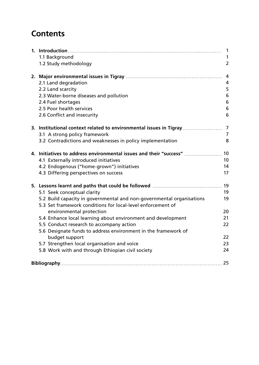# **Contents**

|                                                                                                                                      | $\mathbf{1}$   |
|--------------------------------------------------------------------------------------------------------------------------------------|----------------|
| 1.1 Background                                                                                                                       | 1              |
| 1.2 Study methodology                                                                                                                | $\overline{2}$ |
|                                                                                                                                      | 4              |
| 2.1 Land degradation                                                                                                                 | 4              |
| 2.2 Land scarcity                                                                                                                    | 5              |
| 2.3 Water-borne diseases and pollution                                                                                               | 6              |
| 2.4 Fuel shortages                                                                                                                   | 6              |
| 2.5 Poor health services                                                                                                             | 6              |
| 2.6 Conflict and insecurity                                                                                                          | 6              |
| 3. Institutional context related to environmental issues in Tigray                                                                   | 7              |
| 3.1 A strong policy framework                                                                                                        | 7              |
| 3.2 Contradictions and weaknesses in policy implementation                                                                           | 8              |
| 4. Initiatives to address environmental issues and their "success"                                                                   | 10             |
| 4.1 Externally introduced initiatives                                                                                                | 10             |
| 4.2 Endogenous ("home-grown") initiatives                                                                                            | 14             |
| 4.3 Differing perspectives on success                                                                                                | 17             |
|                                                                                                                                      | 19             |
| 5.1 Seek conceptual clarity                                                                                                          | 19             |
| 5.2 Build capacity in governmental and non-governmental organisations<br>5.3 Set framework conditions for local-level enforcement of | 19             |
| environmental protection                                                                                                             | 20             |
| 5.4 Enhance local learning about environment and development                                                                         | 21             |
| 5.5 Conduct research to accompany action                                                                                             | 22             |
| 5.6 Designate funds to address environment in the framework of                                                                       |                |
| budget support                                                                                                                       | 22             |
| 5.7 Strengthen local organisation and voice                                                                                          | 23             |
| 5.8 Work with and through Ethiopian civil society                                                                                    | 24             |
|                                                                                                                                      | 25             |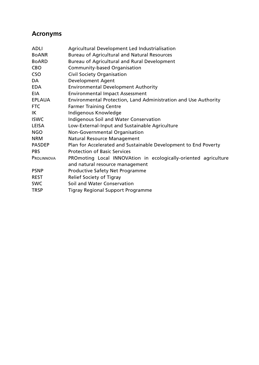### **Acronyms**

| ADLI          | Agricultural Development Led Industrialisation                                                     |
|---------------|----------------------------------------------------------------------------------------------------|
| <b>BOANR</b>  | <b>Bureau of Agricultural and Natural Resources</b>                                                |
| <b>BoARD</b>  | Bureau of Agricultural and Rural Development                                                       |
| CBO.          | Community-based Organisation                                                                       |
| CSO.          | Civil Society Organisation                                                                         |
| DA            | Development Agent                                                                                  |
| <b>EDA</b>    | <b>Environmental Development Authority</b>                                                         |
| <b>EIA</b>    | <b>Environmental Impact Assessment</b>                                                             |
| <b>EPLAUA</b> | Environmental Protection, Land Administration and Use Authority                                    |
| FTC           | <b>Farmer Training Centre</b>                                                                      |
| IΚ            | Indigenous Knowledge                                                                               |
| <b>ISWC</b>   | Indigenous Soil and Water Conservation                                                             |
| LEISA         | Low-External-Input and Sustainable Agriculture                                                     |
| NGO.          | Non-Governmental Organisation                                                                      |
| <b>NRM</b>    | <b>Natural Resource Management</b>                                                                 |
| <b>PASDEP</b> | Plan for Accelerated and Sustainable Development to End Poverty                                    |
| <b>PBS</b>    | <b>Protection of Basic Services</b>                                                                |
| PROLINNOVA    | PROmoting Local INNOVAtion in ecologically-oriented agriculture<br>and natural resource management |
| <b>PSNP</b>   | <b>Productive Safety Net Programme</b>                                                             |
| REST          | Relief Society of Tigray                                                                           |
| <b>SWC</b>    | Soil and Water Conservation                                                                        |
| TRSP          | Tigray Regional Support Programme                                                                  |
|               |                                                                                                    |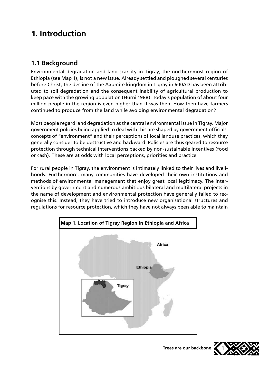# **1. Introduction**

### **1.1 Background**

Environmental degradation and land scarcity in Tigray, the northernmost region of Ethiopia (see Map 1), is not a new issue. Already settled and ploughed several centuries before Christ, the decline of the Axumite kingdom in Tigray in 600AD has been attributed to soil degradation and the consequent inability of agricultural production to keep pace with the growing population (Hurni 1988). Today's population of about four million people in the region is even higher than it was then. How then have farmers continued to produce from the land while avoiding environmental degradation?

Most people regard land degradation as the central environmental issue in Tigray. Major government policies being applied to deal with this are shaped by government officials' concepts of "environment" and their perceptions of local landuse practices, which they generally consider to be destructive and backward. Policies are thus geared to resource protection through technical interventions backed by non-sustainable incentives (food or cash). These are at odds with local perceptions, priorities and practice.

For rural people in Tigray, the environment is intimately linked to their lives and livelihoods. Furthermore, many communities have developed their own institutions and methods of environmental management that enjoy great local legitimacy. The interventions by government and numerous ambitious bilateral and multilateral projects in the name of development and environmental protection have generally failed to recognise this. Instead, they have tried to introduce new organisational structures and regulations for resource protection, which they have not always been able to maintain



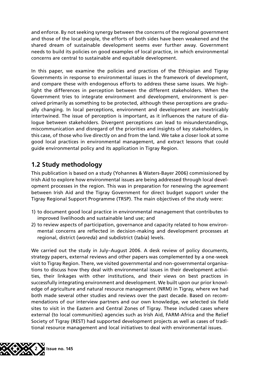and enforce. By not seeking synergy between the concerns of the regional government and those of the local people, the efforts of both sides have been weakened and the shared dream of sustainable development seems ever further away. Government needs to build its policies on good examples of local practice, in which environmental concerns are central to sustainable and equitable development.

In this paper, we examine the policies and practices of the Ethiopian and Tigray Governments in response to environmental issues in the framework of development, and compare these with endogenous efforts to address these same issues. We highlight the differences in perception between the different stakeholders. When the Government tries to integrate environment and development, environment is perceived primarily as something to be protected, although these perceptions are gradually changing. In local perceptions, environment and development are inextricably intertwined. The issue of perception is important, as it influences the nature of dialogue between stakeholders. Divergent perceptions can lead to misunderstandings, miscommunication and disregard of the priorities and insights of key stakeholders, in this case, of those who live directly on and from the land. We take a closer look at some good local practices in environmental management, and extract lessons that could guide environmental policy and its application in Tigray Region.

### **1.2 Study methodology**

This publication is based on a study (Yohannes & Waters-Bayer 2006) commissioned by Irish Aid to explore how environmental issues are being addressed through local development processes in the region. This was in preparation for renewing the agreement between Irish Aid and the Tigray Government for direct budget support under the Tigray Regional Support Programme (TRSP). The main objectives of the study were:

- 1) to document good local practice in environmental management that contributes to improved livelihoods and sustainable land use; and
- 2) to review aspects of participation, governance and capacity related to how environmental concerns are reflected in decision-making and development processes at regional, district (*woreda*) and subdistrict (*tabia*) levels.

We carried out the study in July–August 2006. A desk review of policy documents, strategy papers, external reviews and other papers was complemented by a one-week visit to Tigray Region. There, we visited governmental and non-governmental organisations to discuss how they deal with environmental issues in their development activities, their linkages with other institutions, and their views on best practices in successfully integrating environment and development. We built upon our prior knowledge of agriculture and natural resource management (NRM) in Tigray, where we had both made several other studies and reviews over the past decade. Based on recommendations of our interview partners and our own knowledge, we selected six field sites to visit in the Eastern and Central Zones of Tigray. These included cases where external (to local communities) agencies such as Irish Aid, FARM-Africa and the Relief Society of Tigray (REST) had supported development projects as well as cases of traditional resource management and local initiatives to deal with environmental issues.

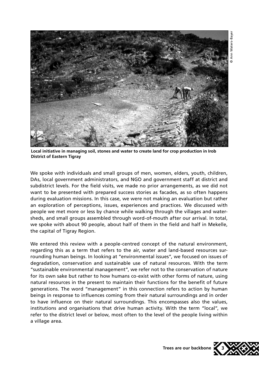

**Local initiative in managing soil, stones and water to create land for crop production in Irob District of Eastern Tigray**

We spoke with individuals and small groups of men, women, elders, youth, children, DAs, local government administrators, and NGO and government staff at district and subdistrict levels. For the field visits, we made no prior arrangements, as we did not want to be presented with prepared success stories as facades, as so often happens during evaluation missions. In this case, we were not making an evaluation but rather an exploration of perceptions, issues, experiences and practices. We discussed with people we met more or less by chance while walking through the villages and watersheds, and small groups assembled through word-of-mouth after our arrival. In total, we spoke with about 90 people, about half of them in the field and half in Mekelle, the capital of Tigray Region.

We entered this review with a people-centred concept of the natural environment, regarding this as a term that refers to the air, water and land-based resources surrounding human beings. In looking at "environmental issues", we focused on issues of degradation, conservation and sustainable use of natural resources. With the term "sustainable environmental management", we refer not to the conservation of nature for its own sake but rather to how humans co-exist with other forms of nature, using natural resources in the present to maintain their functions for the benefit of future generations. The word "management" in this connection refers to action by human beings in response to influences coming from their natural surroundings and in order to have influence on their natural surroundings. This encompasses also the values, institutions and organisations that drive human activity. With the term "local", we refer to the district level or below, most often to the level of the people living within a village area.

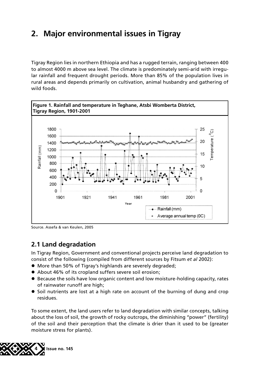# **2. Major environmental issues in Tigray**

Tigray Region lies in northern Ethiopia and has a rugged terrain, ranging between 400 to almost 4000 m above sea level. The climate is predominately semi-arid with irregular rainfall and frequent drought periods. More than 85% of the population lives in rural areas and depends primarily on cultivation, animal husbandry and gathering of wild foods.



Source. Assefa & van Keulen, 2005

### **2.1 Land degradation**

In Tigray Region, Government and conventional projects perceive land degradation to consist of the following (compiled from different sources by Fitsum *et al* 2002):

- More than 50% of Tigray's highlands are severely degraded;
- About 46% of its cropland suffers severe soil erosion;
- **Because the soils have low organic content and low moisture-holding capacity, rates** of rainwater runoff are high;
- Soil nutrients are lost at a high rate on account of the burning of dung and crop residues.

To some extent, the land users refer to land degradation with similar concepts, talking about the loss of soil, the growth of rocky outcrops, the diminishing "power" (fertility) of the soil and their perception that the climate is drier than it used to be (greater moisture stress for plants).

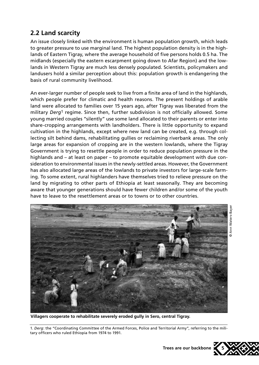### **2.2 Land scarcity**

An issue closely linked with the environment is human population growth, which leads to greater pressure to use marginal land. The highest population density is in the highlands of Eastern Tigray, where the average household of five persons holds 0.5 ha. The midlands (especially the eastern escarpment going down to Afar Region) and the lowlands in Western Tigray are much less densely populated. Scientists, policymakers and landusers hold a similar perception about this: population growth is endangering the basis of rural community livelihood.

An ever-larger number of people seek to live from a finite area of land in the highlands, which people prefer for climatic and health reasons. The present holdings of arable land were allocated to families over 15 years ago, after Tigray was liberated from the military *Derg*1 regime. Since then, further subdivision is not officially allowed. Some young married couples "silently" use some land allocated to their parents or enter into share-cropping arrangements with landholders. There is little opportunity to expand cultivation in the highlands, except where new land can be created, e.g. through collecting silt behind dams, rehabilitating gullies or reclaiming riverbank areas. The only large areas for expansion of cropping are in the western lowlands, where the Tigray Government is trying to resettle people in order to reduce population pressure in the highlands and – at least on paper – to promote equitable development with due consideration to environmental issues in the newly-settled areas. However, the Government has also allocated large areas of the lowlands to private investors for large-scale farming. To some extent, rural highlanders have themselves tried to relieve pressure on the land by migrating to other parts of Ethiopia at least seasonally. They are becoming aware that younger generations should have fewer children and/or some of the youth have to leave to the resettlement areas or to towns or to other countries.



**Villagers cooperate to rehabilitate severely eroded gully in Sero, central Tigray.**

1. *Derg*: the "Coordinating Committee of the Armed Forces, Police and Territorial Army", referring to the military officers who ruled Ethiopia from 1974 to 1991.

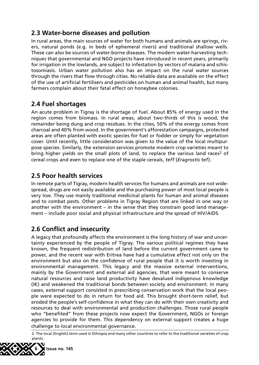### **2.3 Water-borne diseases and pollution**

In rural areas, the main sources of water for both humans and animals are springs, rivers, natural ponds (e.g. in beds of ephemeral rivers) and traditional shallow wells. These can also be sources of water-borne diseases. The modern water-harvesting techniques that governmental and NGO projects have introduced in recent years, primarily for irrigation in the lowlands, are subject to infestation by vectors of malaria and schistosomiasis. Urban water pollution also has an impact on the rural water sources through the rivers that flow through cities. No reliable data are available on the effect of the use of artificial fertilisers and pesticides on human and animal health, but many farmers complain about their fatal effect on honeybee colonies.

### **2.4 Fuel shortages**

An acute problem in Tigray is the shortage of fuel. About 85% of energy used in the region comes from biomass. In rural areas, about two-thirds of this is wood, the remainder being dung and crop residues. In the cities, 50% of the energy comes from charcoal and 40% from wood. In the government's afforestation campaigns, protected areas are often planted with exotic species for fuel or fodder or simply for vegetation cover. Until recently, little consideration was given to the value of the local multipurpose species. Similarly, the extension services promote modern crop varieties meant to bring higher yields on the small plots of land, to replace the various land races<sup>2</sup> of cereal crops and even to replace one of the staple cereals, *teff* (*Eragrostis tef*).

### **2.5 Poor health services**

In remote parts of Tigray, modern health services for humans and animals are not widespread, drugs are not easily available and the purchasing power of most local people is very low. They use mainly traditional medicinal plants for human and animal diseases and to combat pests. Other problems in Tigray Region that are linked in one way or another with the environment – in the sense that they constrain good land management – include poor social and physical infrastructure and the spread of HIV/AIDS.

### **2.6 Conflict and insecurity**

A legacy that profoundly affects the environment is the long history of war and uncertainty experienced by the people of Tigray. The various political regimes they have known, the frequent redistribution of land before the current government came to power, and the recent war with Eritrea have had a cumulative effect not only on the environment but also on the confidence of rural people that it is worth investing in environmental management. This legacy and the massive external interventions, mainly by the Government and external aid agencies, that were meant to conserve natural resources and raise land productivity have devalued indigenous knowledge (IK) and weakened the traditional bonds between society and environment. In many cases, external support consisted in prescribing conservation work that the local people were expected to do in return for food aid. This brought short-term relief, but eroded the people's self-confidence in what they can do with their own creativity and resources to deal with environmental and production challenges. Those rural people who "benefited" from these projects now expect the Government, NGOs or foreign agencies to provide for them. This dependency on external support creates a huge challenge to local environmental governance.

2. The local (English) term used in Ethiopia and many other countries to refer to the traditional varieties of crop plants.

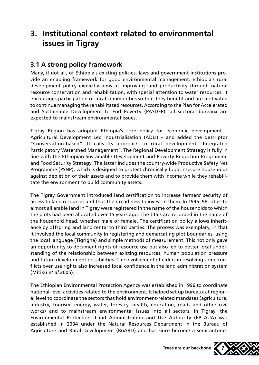# **3. Institutional context related to environmental issues in Tigray**

### **3.1 A strong policy framework**

Many, if not all, of Ethiopia's existing policies, laws and government institutions provide an enabling framework for good environmental management. Ethiopia's rural development policy explicitly aims at improving land productivity through natural resource conservation and rehabilitation, with special attention to water resources. It encourages participation of local communities so that they benefit and are motivated to continue managing the rehabilitated resources. According to the Plan for Accelerated and Sustainable Development to End Poverty (PASDEP), all sectoral bureaux are expected to mainstream environmental issues.

Tigray Region has adopted Ethiopia's core policy for economic development – Agricultural Development Led Industrialisation (ADLI) – and added the descriptor "Conservation-based". It calls its approach to rural development "Integrated Participatory Watershed Management". The Regional Development Strategy is fully in line with the Ethiopian Sustainable Development and Poverty Reduction Programme and Food Security Strategy. The latter includes the country-wide Productive Safety Net Programme (PSNP), which is designed to protect chronically food-insecure households against depletion of their assets and to provide them with income while they rehabilitate the environment to build community assets.

The Tigray Government introduced land certification to increase farmers' security of access to land resources and thus their readiness to invest in them. In 1996–98, titles to almost all arable land in Tigray were registered in the name of the households to which the plots had been allocated over 15 years ago. The titles are recorded in the name of the household head, whether male or female. The certification policy allows inheritance by offspring and land rental to third parties. The process was exemplary, in that it involved the local community in registering and demarcating plot boundaries, using the local language (Tigrigna) and simple methods of measurement. This not only gave an opportunity to document rights of resource use but also led to better local understanding of the relationship between existing resources, human population pressure and future development possibilities. The involvement of elders in resolving some conflicts over use rights also increased local confidence in the land administration system (Mitiku *et al* 2005).

The Ethiopian Environmental Protection Agency was established in 1996 to coordinate national-level activities related to the environment. It helped set up bureaux at regional level to coordinate the sectors that hold environment-related mandates (agriculture, industry, tourism, energy, water, forestry, health, education, roads and other civil works) and to mainstream environmental issues into all sectors. In Tigray, the Environmental Protection, Land Administration and Use Authority (EPLAUA) was established in 2004 under the Natural Resources Department in the Bureau of Agriculture and Rural Development (BoARD) and has since become a semi-autono-

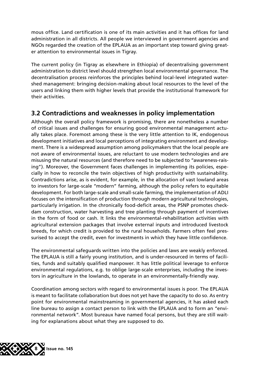mous office. Land certification is one of its main activities and it has offices for land administration in all districts. All people we interviewed in government agencies and NGOs regarded the creation of the EPLAUA as an important step toward giving greater attention to environmental issues in Tigray.

The current policy (in Tigray as elsewhere in Ethiopia) of decentralising government administration to district level should strengthen local environmental governance. The decentralisation process reinforces the principles behind local-level integrated watershed management: bringing decision-making about local resources to the level of the users and linking them with higher levels that provide the institutional framework for their activities.

### **3.2 Contradictions and weaknesses in policy implementation**

Although the overall policy framework is promising, there are nonetheless a number of critical issues and challenges for ensuring good environmental management actually takes place. Foremost among these is the very little attention to IK, endogenous development initiatives and local perceptions of integrating environment and development. There is a widespread assumption among policymakers that the local people are not aware of environmental issues, are reluctant to use modern technologies and are misusing the natural resources (and therefore need to be subjected to "awareness-raising"). Moreover, the Government faces challenges in implementing its policies, especially in how to reconcile the twin objectives of high productivity with sustainability. Contradictions arise, as is evident, for example, in the allocation of vast lowland areas to investors for large-scale "modern" farming, although the policy refers to equitable development. For both large-scale and small-scale farming, the implementation of ADLI focuses on the intensification of production through modern agricultural technologies, particularly irrigation. In the chronically food-deficit areas, the PSNP promotes checkdam construction, water harvesting and tree planting through payment of incentives in the form of food or cash. It links the environmental-rehabilitation activities with agricultural extension packages that involve external inputs and introduced livestock breeds, for which credit is provided to the rural households. Farmers often feel pressurised to accept the credit, even for investments in which they have little confidence.

The environmental safeguards written into the policies and laws are weakly enforced. The EPLAUA is still a fairly young institution, and is under-resourced in terms of facilities, funds and suitably qualified manpower. It has little political leverage to enforce environmental regulations, e.g. to oblige large-scale enterprises, including the investors in agriculture in the lowlands, to operate in an environmentally-friendly way.

Coordination among sectors with regard to environmental issues is poor. The EPLAUA is meant to facilitate collaboration but does not yet have the capacity to do so. As entry point for environmental mainstreaming in governmental agencies, it has asked each line bureau to assign a contact person to link with the EPLAUA and to form an "environmental network". Most bureaux have named focal persons, but they are still waiting for explanations about what they are supposed to do.

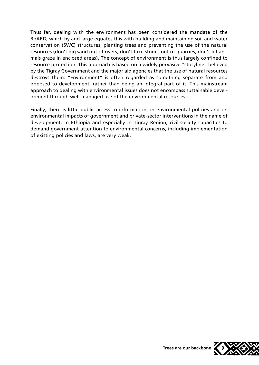Thus far, dealing with the environment has been considered the mandate of the BoARD, which by and large equates this with building and maintaining soil and water conservation (SWC) structures, planting trees and preventing the use of the natural resources (don't dig sand out of rivers, don't take stones out of quarries, don't let animals graze in enclosed areas). The concept of environment is thus largely confined to resource protection. This approach is based on a widely pervasive "storyline" believed by the Tigray Government and the major aid agencies that the use of natural resources destroys them. "Environment" is often regarded as something separate from and opposed to development, rather than being an integral part of it. This mainstream approach to dealing with environmental issues does not encompass sustainable development through well-managed use of the environmental resources.

Finally, there is little public access to information on environmental policies and on environmental impacts of government and private-sector interventions in the name of development. In Ethiopia and especially in Tigray Region, civil-society capacities to demand government attention to environmental concerns, including implementation of existing policies and laws, are very weak.

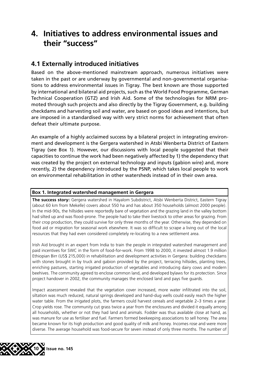## **4. Initiatives to address environmental issues and their "success"**

### **4.1 Externally introduced initiatives**

Based on the above-mentioned mainstream approach, numerous initiatives were taken in the past or are underway by governmental and non-governmental organisations to address environmental issues in Tigray. The best known are those supported by international and bilateral aid projects, such as the World Food Programme, German Technical Cooperation (GTZ) and Irish Aid. Some of the technologies for NRM promoted through such projects and also directly by the Tigray Government, e.g. building checkdams and harvesting soil and water, are based on good ideas and intentions, but are imposed in a standardised way with very strict norms for achievement that often defeat their ultimate purpose.

An example of a highly acclaimed success by a bilateral project in integrating environment and development is the Gergera watershed in Atsbi Wenberta District of Eastern Tigray (see Box 1). However, our discussions with local people suggested that their capacities to continue the work had been negatively affected by 1) the dependency that was created by the project on external technology and inputs (gabion wire) and, more recently, 2) the dependency introduced by the PSNP, which takes local people to work on environmental rehabilitation in other watersheds instead of in their own area.

#### **Box 1. Integrated watershed management in Gergera**

**The success story:** Gergera watershed in Hayalom Subdistrict, Atsbi Wenberta District, Eastern Tigray (about 60 km from Mekelle) covers about 550 ha and has about 350 households (almost 2000 people). In the mid-90s, the hillsides were reportedly bare of vegetation and the grazing land in the valley bottom had silted up and was flood-prone. The people had to take their livestock to other areas for grazing. From their crop production, they could survive for only three months of the year. Otherwise, they depended on food aid or migration for seasonal work elsewhere. It was so difficult to scrape a living out of the local resources that they had even considered completely re-locating to a new settlement area.

Irish Aid brought in an expert from India to train the people in integrated watershed management and paid incentives for SWC in the form of food-for-work. From 1998 to 2000, it invested almost 1.9 million Ethiopian Birr (US\$ 215,000) in rehabilitation and development activities in Gergera: building checkdams with stones brought in by truck and gabion provided by the project, terracing hillsides, planting trees, enriching pastures, starting irrigated production of vegetables and introducing dairy cows and modern beehives. The community agreed to enclose common land, and developed bylaws for its protection. Since project handover in 2002, the community manages the enclosed land and pays five guards.

Impact assessment revealed that the vegetation cover increased, more water infiltrated into the soil, siltation was much reduced, natural springs developed and hand-dug wells could easily reach the higher water table. From the irrigated plots, the farmers could harvest cereals and vegetable 2–3 times a year. Crop yields rose. The community cut grass twice a year from the enclosures and divided it equally among all households, whether or not they had land and animals. Fodder was thus available close at hand, as was manure for use as fertiliser and fuel. Farmers formed beekeeping associations to sell honey. The area became known for its high production and good quality of milk and honey. Incomes rose and were more diverse. The average household was food-secure for seven instead of only three months. The number of

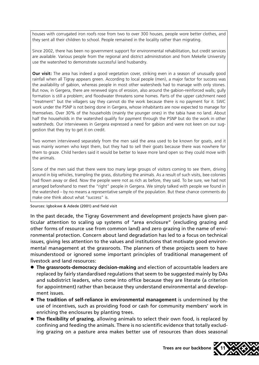houses with corrugated iron roofs rose from two to over 300 houses, people wore better clothes, and they sent all their children to school. People remained in the locality rather than migrating.

Since 2002, there has been no government support for environmental rehabilitation, but credit services are available. Various people from the regional and district administration and from Mekelle University use the watershed to demonstrate successful land husbandry.

**Our visit:** The area has indeed a good vegetation cover, striking even in a season of unusually good rainfall when all Tigray appears green. According to local people (men), a major factor for success was the availability of gabion, whereas people in most other watersheds had to manage with only stones. But now, in Gergera, there are renewed signs of erosion, also around the gabion-reinforced walls; gully formation is still a problem; and floodwater threatens some homes. Parts of the upper catchment need "treatment" but the villagers say they cannot do the work because there is no payment for it. SWC work under the PSNP is not being done in Gergera, whose inhabitants are now expected to manage for themselves. Over 30% of the households (mainly the younger ones) in the tabia have no land. About half the households in the watershed qualify for payment through the PSNP but do the work in other watersheds. Our interviewees in Gergera expressed a need for gabion and were not keen on our suggestion that they try to get it on credit.

Two women interviewed separately from the men said the area used to be known for goats, and it was mainly women who kept them, but they had to sell their goats because there was nowhere for them to graze. Child herders said it would be better to leave more land open so they could move with the animals.

Some of the men said that there were too many large groups of visitors coming to see them, driving around in big vehicles, trampling the grass, disturbing the animals. As a result of such visits, bee colonies had flown away or died. Now the people were not as rich as before, they said. To be sure, we had not arranged beforehand to meet the "right" people in Gergera. We simply talked with people we found in the watershed – by no means a representative sample of the population. But these chance comments do make one think about what "success" is.

Sources: Igbokwe & Adede (2001) and field visit

In the past decade, the Tigray Government and development projects have given particular attention to scaling up systems of "area enclosure" (excluding grazing and other forms of resource use from common land) and zero grazing in the name of environmental protection. Concern about land degradation has led to a focus on technical issues, giving less attention to the values and institutions that motivate good environmental management at the grassroots. The planners of these projects seem to have misunderstood or ignored some important principles of traditional management of livestock and land resources:

- **The grassroots-democracy decision-making** and election of accountable leaders are replaced by fairly standardised regulations that seem to be suggested mainly by DAs and subdistrict leaders, who come into office because they are literate (a criterion for appointment) rather than because they understand environmental and development issues.
- l **The tradition of self-reliance in environmental management** is undermined by the use of incentives, such as providing food or cash for community members' work in enriching the enclosures by planting trees.
- **The flexibility of grazing, allowing animals to select their own food, is replaced by** confining and feeding the animals. There is no scientific evidence that totally excluding grazing on a pasture area makes better use of resources than does seasonal

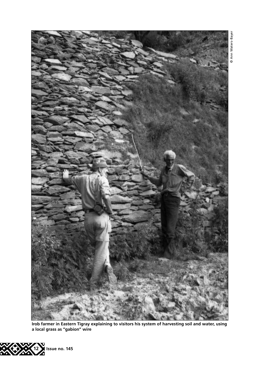

**Irob farmer in Eastern Tigray explaining to visitors his system of harvesting soil and water, using a local grass as "gabion" wire**



@ Ann Waters-Bayer © Ann Waters-Bayer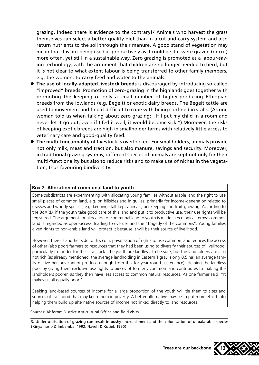grazing. Indeed there is evidence to the contrary!3 Animals who harvest the grass themselves can select a better quality diet than in a cut-and-carry system and also return nutrients to the soil through their manure. A good stand of vegetation may mean that it is not being used as productively as it could be if it were grazed (or cut) more often, yet still in a sustainable way. Zero grazing is promoted as a labour-saving technology, with the argument that children are no longer needed to herd, but it is not clear to what extent labour is being transferred to other family members, e.g. the women, to carry feed and water to the animals.

- **The use of locally-adapted livestock breeds** is discouraged by introducing so-called "improved" breeds. Promotion of zero-grazing in the highlands goes together with promoting the keeping of only a small number of higher-producing Ethiopian breeds from the lowlands (e.g. Begeit) or exotic dairy breeds. The Begeit cattle are used to movement and find it difficult to cope with being confined in stalls. (As one woman told us when talking about zero grazing: "If I put my child in a room and never let it go out, even if I fed it well, it would become sick.") Moreover, the risks of keeping exotic breeds are high in smallholder farms with relatively little access to veterinary care and good-quality feed.
- **The multi-functionality of livestock** is overlooked. For smallholders, animals provide not only milk, meat and traction, but also manure, savings and security. Moreover, in traditional grazing systems, different species of animals are kept not only for their multi-functionality but also to reduce risks and to make use of niches in the vegetation, thus favouring biodiversity.

#### **Box 2. Allocation of communal land to youth**

Some subdistricts are experimenting with allocating young families without arable land the right to use small pieces of common land, e.g. on hillsides and in gullies, primarily for income-generation related to grasses and woody species, e.g. keeping stall-kept animals, beekeeping and fruit-growing. According to the BoARD, if the youth take good care of this land and put it to productive use, their use rights will be registered. The argument for allocation of communal land to youth is made in ecological terms: common land is regarded as open-access, leading to overuse and the "tragedy of the commons". Young families given rights to non-arable land will protect it because it will be their source of livelihood.

However, there is another side to this coin: privatisation of rights to use common land reduces the access of other (also poor) farmers to resources that they had been using to diversify their sources of livelihood, particularly to fodder for their livestock. The youth are landless, to be sure, but the landholders are also not rich (as already mentioned, the average landholding in Eastern Tigray is only 0.5 ha; an average family of five persons cannot produce enough from this for year-round sustenance). Helping the landless poor by giving them exclusive use rights to pieces of formerly common land contributes to making the landholders poorer, as they then have less access to common natural resources. As one farmer said: "It makes us all equally poor."

Seeking land-based sources of income for a large proportion of the youth will tie them to sites and sources of livelihood that may keep them in poverty. A better alternative may be to put more effort into helping them build up alternative sources of income not linked directly to land resources.

Sources: Ahferom District Agricultural Office and field visits

<sup>3.</sup> Under-utilisation of grazing can result in bushy encroachment and the colonisation of unpalatable species (Kinyamario & Imbamba, 1992; Naveh & Kutiel, 1990).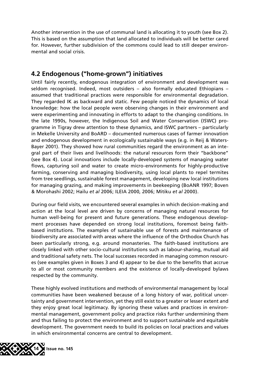Another intervention in the use of communal land is allocating it to youth (see Box 2). This is based on the assumption that land allocated to individuals will be better cared for. However, further subdivision of the commons could lead to still deeper environmental and social crisis.

### **4.2 Endogenous ("home-grown") initiatives**

Until fairly recently, endogenous integration of environment and development was seldom recognised. Indeed, most outsiders – also formally educated Ethiopians – assumed that traditional practices were responsible for environmental degradation. They regarded IK as backward and static. Few people noticed the dynamics of local knowledge: how the local people were observing changes in their environment and were experimenting and innovating in efforts to adapt to the changing conditions. In the late 1990s, however, the Indigenous Soil and Water Conservation (ISWC) programme in Tigray drew attention to these dynamics, and ISWC partners – particularly in Mekelle University and BoARD – documented numerous cases of farmer innovation and endogenous development in ecologically sustainable ways (e.g. in Reij & Waters-Bayer 2001). They showed how rural communities regard the environment as an integral part of their lives and livelihoods: the natural resources form their "backbone" (see Box 4). Local innovations include locally-developed systems of managing water flows, capturing soil and water to create micro-environments for highly-productive farming, conserving and managing biodiversity, using local plants to repel termites from tree seedlings, sustainable forest management, developing new local institutions for managing grazing, and making improvements in beekeeping (BoANR 1997; Boven & Morohashi 2002; Hailu *et al* 2006; ILEIA 2000, 2006; Mitiku *et al* 2000).

During our field visits, we encountered several examples in which decision-making and action at the local level are driven by concerns of managing natural resources for human well-being for present and future generations. These endogenous development processes have depended on strong local institutions, foremost being faithbased institutions. The examples of sustainable use of forests and maintenance of biodiversity are associated with areas where the influence of the Orthodox Church has been particularly strong, e.g. around monasteries. The faith-based institutions are closely linked with other socio-cultural institutions such as labour-sharing, mutual aid and traditional safety nets. The local successes recorded in managing common resources (see examples given in Boxes 3 and 4) appear to be due to the benefits that accrue to all or most community members and the existence of locally-developed bylaws respected by the community.

These highly evolved institutions and methods of environmental management by local communities have been weakened because of a long history of war, political uncertainty and government intervention, yet they still exist to a greater or lesser extent and they enjoy great local legitimacy. By ignoring these values and practices in environmental management, government policy and practice risks further undermining them and thus failing to protect the environment and to support sustainable and equitable development. The government needs to build its policies on local practices and values in which environmental concerns are central to development.

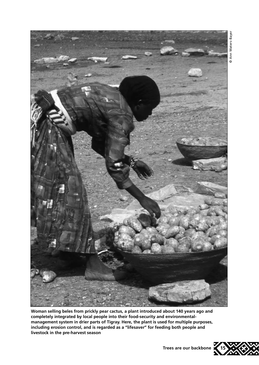

**Woman selling beles from prickly pear cactus, a plant introduced about 140 years ago and completely integrated by local people into their food-security and environmentalmanagement system in drier parts of Tigray. Here, the plant is used for multiple purposes, including erosion control, and is regarded as a "lifesaver" for feeding both people and livestock in the pre-harvest season**



**Trees are our backbone**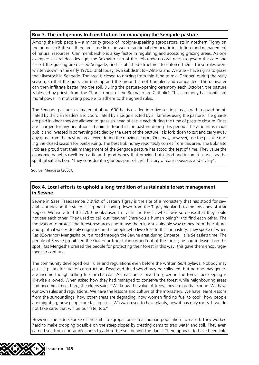#### **Box 3. The indigenous Irob institution for managing the Sengade pasture**

Among the Irob people – a minority group of Irobigna-speaking agropastoralists in northern Tigray on the border to Eritrea – there are close links between traditional democratic institutions and management of natural resources. Clan membership is a key factor in regulating and accessing grazing areas. As one example: several decades ago, the Boknaito clan of the Irob drew up oral rules to govern the care and use of the grazing area called Sengade, and established structures to enforce them. These rules were written down in the early 1970s. Until today, two subdistricts – Alitena and Weratle – have rights to graze their livestock in Sengade. The area is closed to grazing from mid-June to mid-October, during the rainy season, so that the grass can bulk up and the ground is not trampled and compacted. The rainwater can then infiltrate better into the soil. During the pasture-opening ceremony each October, the pasture is blessed by priests from the Church (most of the Boknaito are Catholic). This ceremony has significant moral power in motivating people to adhere to the agreed rules.

The Sengade pasture, estimated at about 600 ha, is divided into five sections, each with a guard nominated by the clan leaders and coordinated by a judge elected by all families using the pasture. The guards are paid in kind: they are allowed to graze six head of cattle each during the time of pasture closure. Fines are charged for any unauthorised animals found in the pasture during this period. The amount is made public and invested in something decided by the users of the pasture. It is forbidden to cut and carry away any grass from the pasture area, even during the grazing season. One may, however, use the pasture during the closed season for beekeeping. The best Irob honey reportedly comes from this area. The Boknaito Irob are proud that their management of the Sengade pasture has stood the test of time. They value the economic benefits (well-fed cattle and good honey that provide both food and income) as well as the spiritual satisfaction: "they consider it a glorious part of their history of consciousness and civility".

Source: Mengistu (2003).

#### **Box 4. Local efforts to uphold a long tradition of sustainable forest management in Sewne**

Sewne in Saesi Tsaedaemba District of Eastern Tigray is the site of a monastery that has stood for several centuries on the steep escarpment leading down from the Tigray highlands to the lowlands of Afar Region. We were told that 700 monks used to live in the forest, which was so dense that they could not see each other. They used to call out "sewne" ("are you a human being?") to find each other. The motivation to protect the forest resources and to use them in a sustainable way comes from the cultural and spiritual values deeply engrained in the people who live close to this monastery. They spoke of when Ras (Governor) Mengesha built a road through the Sewne area during Emperor Haile Selassie's time. The people of Sewne prohibited the Governor from taking wood out of the forest; he had to leave it on the spot. Ras Mengesha praised the people for protecting their forest in this way; this gave them encouragement to continue.

The community developed oral rules and regulations even before the written *Serit* bylaws. Nobody may cut live plants for fuel or construction. Dead and dried wood may be collected, but no one may generate income though selling fuel or charcoal. Animals are allowed to graze in the forest; beekeeping is likewise allowed. When asked how they had managed to conserve the forest while neighbouring areas had become almost bare, the elders said: "We know the value of trees; they are our backbone. We have our own rules and regulations. We have the lessons and culture of the monastery. We have learnt lessons from the surroundings: how other areas are degrading, how women find no fuel to cook, how people are migrating, how people are facing crisis. Walwalo used to have plants, now it has only rocks. If we do not take care, that will be our fate, too."

However, the elders spoke of the shift to agropastoralism as human population increased. They worked hard to make cropping possible on the steep slopes by creating dams to trap water and soil. They even carried soil from non-arable spots to add to the soil behind the dams. There appears to have been link-

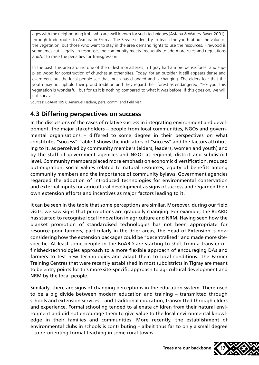ages with the neighbouring Irob, who are well known for such techniques (Asfaha & Waters-Bayer 2001), through trade routes to Asmara in Eritrea. The Sewne elders try to teach the youth about the value of the vegetation, but those who want to stay in the area demand rights to use the resources. Firewood is sometimes cut illegally. In response, the community meets frequently to add more rules and regulations and/or to raise the penalties for transgression.

In the past, this area around one of the oldest monasteries in Tigray had a more dense forest and supplied wood for construction of churches at other sites. Today, for an outsider, it still appears dense and evergreen, but the local people see that much has changed and is changing. The elders fear that the youth may not uphold their proud tradition and they regard their forest as endangered. "For you, this vegetation is wonderful, but for us it is nothing compared to what it was before. If this goes on, we will not survive."

Sources: BoANR 1997; Amanuel Hadera, pers. comm. and field visit

### **4.3 Differing perspectives on success**

In the discussions of the cases of relative success in integrating environment and development, the major stakeholders – people from local communities, NGOs and governmental organisations – differed to some degree in their perspectives on what constitutes "success". Table 1 shows the indicators of "success" and the factors attributing to it, as perceived by community members (elders, leaders, women and youth) and by the staff of government agencies and NGOs at regional, district and subdistrict level. Community members placed more emphasis on economic diversification, reduced out-migration, social values related to natural resources, equity of benefits among community members and the importance of community bylaws. Government agencies regarded the adoption of introduced technologies for environmental conservation and external inputs for agricultural development as signs of success and regarded their own extension efforts and incentives as major factors leading to it.

It can be seen in the table that some perceptions are similar. Moreover, during our field visits, we saw signs that perceptions are gradually changing. For example, the BoARD has started to recognise local innovation in agriculture and NRM. Having seen how the blanket promotion of standardised technologies has not been appropriate for resource-poor farmers, particularly in the drier areas, the Head of Extension is now considering how the extension packages could be "decentralised" and made more sitespecific. At least some people in the BoARD are starting to shift from a transfer-offinished-technologies approach to a more flexible approach of encouraging DAs and farmers to test new technologies and adapt them to local conditions. The Farmer Training Centres that were recently established in most subdistricts in Tigray are meant to be entry points for this more site-specific approach to agricultural development and NRM by the local people.

Similarly, there are signs of changing perceptions in the education system. There used to be a big divide between modern education and training – transmitted through schools and extension services – and traditional education, transmitted through elders and experience. Formal schooling tended to alienate children from their natural environment and did not encourage them to give value to the local environmental knowledge in their families and communities. More recently, the establishment of environmental clubs in schools is contributing – albeit thus far to only a small degree – to re-orienting formal teaching in some rural towns.

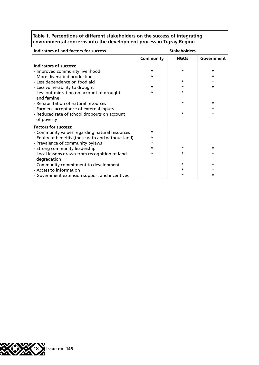| Table 1. Perceptions of different stakeholders on the success of integrating |
|------------------------------------------------------------------------------|
| environmental concerns into the development process in Tigray Region         |

| Indicators of and factors for success              | <b>Stakeholders</b> |             |            |
|----------------------------------------------------|---------------------|-------------|------------|
|                                                    | Community           | <b>NGOs</b> | Government |
| <b>Indicators of success:</b>                      |                     |             |            |
| - Improved community livelihood                    | $\star$             | $\star$     | ÷          |
| - More diversified production                      | ÷                   |             | ÷          |
| - Less dependence on food aid                      |                     | $\star$     |            |
| - Less vulnerability to drought                    | $\star$             |             | ÷          |
| - Less out-migration on account of drought         | ÷                   | ÷           |            |
| and famine                                         |                     |             |            |
| - Rehabilitation of natural resources              |                     | $\star$     | ÷          |
| - Farmers' acceptance of external inputs           |                     |             | ÷          |
| - Reduced rate of school dropouts on account       |                     | $\star$     | *          |
| of poverty                                         |                     |             |            |
| <b>Factors for success:</b>                        |                     |             |            |
| - Community values regarding natural resources     | ÷                   |             |            |
| - Equity of benefits (those with and without land) | $\star$             |             |            |
| - Prevalence of community bylaws                   | ÷                   |             |            |
| - Strong community leadership                      |                     | $\star$     | ÷          |
| - Local lessons drawn from recognition of land     | $\star$             | $\star$     | *          |
| degradation                                        |                     |             |            |
| - Community commitment to development              |                     | $\star$     | *          |
| - Access to information                            |                     |             |            |
| - Government extension support and incentives      |                     | *           | *          |

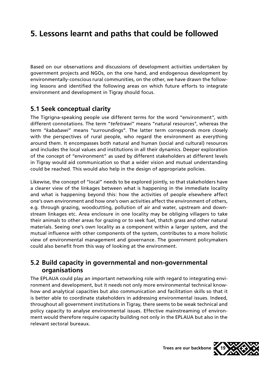## **5. Lessons learnt and paths that could be followed**

Based on our observations and discussions of development activities undertaken by government projects and NGOs, on the one hand, and endogenous development by environmentally-conscious rural communities, on the other, we have drawn the following lessons and identified the following areas on which future efforts to integrate environment and development in Tigray should focus.

### **5.1 Seek conceptual clarity**

The Tigrigna-speaking people use different terms for the word "environment", with different connotations. The term "*tefetrawi*" means "natural resources", whereas the term "*kababawi*" means "surroundings". The latter term corresponds more closely with the perspectives of rural people, who regard the environment as everything around them. It encompasses both natural and human (social and cultural) resources and includes the local values and institutions in all their dynamics. Deeper exploration of the concept of "environment" as used by different stakeholders at different levels in Tigray would aid communication so that a wider vision and mutual understanding could be reached. This would also help in the design of appropriate policies.

Likewise, the concept of "local" needs to be explored jointly, so that stakeholders have a clearer view of the linkages between what is happening in the immediate locality and what is happening beyond this: how the activities of people elsewhere affect one's own environment and how one's own activities affect the environment of others, e.g. through grazing, woodcutting, pollution of air and water, upstream and downstream linkages etc. Area enclosure in one locality may be obliging villagers to take their animals to other areas for grazing or to seek fuel, thatch grass and other natural materials. Seeing one's own locality as a component within a larger system, and the mutual influence with other components of the system, contributes to a more holistic view of environmental management and governance. The government policymakers could also benefit from this way of looking at the environment.

### **5.2 Build capacity in governmental and non-governmental organisations**

The EPLAUA could play an important networking role with regard to integrating environment and development, but it needs not only more environmental technical knowhow and analytical capacities but also communication and facilitation skills so that it is better able to coordinate stakeholders in addressing environmental issues. Indeed, throughout all government institutions in Tigray, there seems to be weak technical and policy capacity to analyse environmental issues. Effective mainstreaming of environment would therefore require capacity building not only in the EPLAUA but also in the relevant sectoral bureaux.

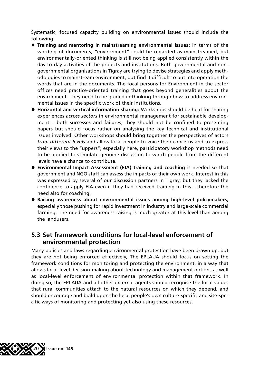Systematic, focused capacity building on environmental issues should include the following:

- l **Training and mentoring in mainstreaming environmental issues:** In terms of the wording of documents, "environment" could be regarded as mainstreamed, but environmentally-oriented thinking is still not being applied consistently within the day-to-day activities of the projects and institutions. Both governmental and nongovernmental organisations in Tigray are trying to devise strategies and apply methodologies to mainstream environment, but find it difficult to put into operation the words that are in the documents. The focal persons for Environment in the sector offices need practice-oriented training that goes beyond generalities about the environment. They need to be guided in thinking through how to address environmental issues in the specific work of their institutions.
- **Horizontal and vertical information sharing:** Workshops should be held for sharing experiences *across sectors* in environmental management for sustainable development – both successes and failures; they should not be confined to presenting papers but should focus rather on analysing the key technical and institutional issues involved. Other workshops should bring together the perspectives of actors *from different levels* and allow local people to voice their concerns and to express their views to the "uppers"; especially here, participatory workshop methods need to be applied to stimulate genuine discussion to which people from the different levels have a chance to contribute.
- **Environmental Impact Assessment (EIA) training and coaching is needed so that** government and NGO staff can assess the impacts of their own work. Interest in this was expressed by several of our discussion partners in Tigray, but they lacked the confidence to apply EIA even if they had received training in this – therefore the need also for coaching.
- **Raising awareness about environmental issues among high-level policymakers,** especially those pushing for rapid investment in industry and large-scale commercial farming. The need for awareness-raising is much greater at this level than among the landusers.

### **5.3 Set framework conditions for local-level enforcement of environmental protection**

Many policies and laws regarding environmental protection have been drawn up, but they are not being enforced effectively, The EPLAUA should focus on setting the framework conditions for monitoring and protecting the environment, in a way that allows local-level decision-making about technology and management options as well as local-level enforcement of environmental protection within that framework. In doing so, the EPLAUA and all other external agents should recognise the local values that rural communities attach to the natural resources on which they depend, and should encourage and build upon the local people's own culture-specific and site-specific ways of monitoring and protecting yet also using these resources.

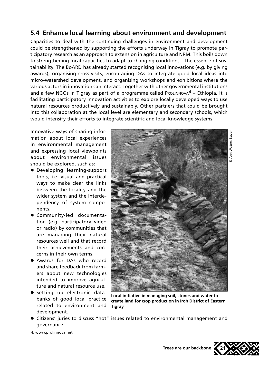### **5.4 Enhance local learning about environment and development**

Capacities to deal with the continuing challenges in environment and development could be strengthened by supporting the efforts underway in Tigray to promote participatory research as an approach to extension in agriculture and NRM. This boils down to strengthening local capacities to adapt to changing conditions – the essence of sustainability. The BoARD has already started recognising local innovations (e.g. by giving awards), organising cross-visits, encouraging DAs to integrate good local ideas into micro-watershed development, and organising workshops and exhibitions where the various actors in innovation can interact. Together with other governmental institutions and a few NGOs in Tigray as part of a programme called ProLINNOVA $4$  – Ethiopia, it is facilitating participatory innovation activities to explore locally developed ways to use natural resources productively and sustainably. Other partners that could be brought into this collaboration at the local level are elementary and secondary schools, which would intensify their efforts to integrate scientific and local knowledge systems.

Innovative ways of sharing information about local experiences in environmental management and expressing local viewpoints about environmental issues should be explored, such as:

- **•** Developing learning-support tools, i.e. visual and practical ways to make clear the links between the locality and the wider system and the interdependency of system components.
- **Community-led documenta**tion (e.g. participatory video or radio) by communities that are managing their natural resources well and that record their achievements and concerns in their own terms.
- Awards for DAs who record and share feedback from farmers about new technologies intended to improve agriculture and natural resource use.
- **•** Setting up electronic databanks of good local practice related to environment and development.



**Local initiative in managing soil, stones and water to create land for crop production in Irob District of Eastern Tigray**

- l Citizens' juries to discuss "hot" issues related to environmental management and governance.
- 4. www.prolinnova.net



**Trees are our backbone**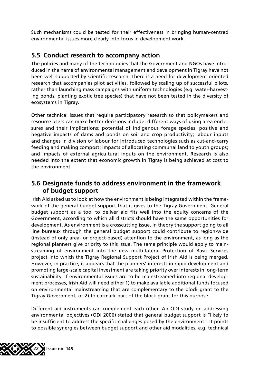Such mechanisms could be tested for their effectiveness in bringing human-centred environmental issues more clearly into focus in development work.

### **5.5 Conduct research to accompany action**

The policies and many of the technologies that the Government and NGOs have introduced in the name of environmental management and development in Tigray have not been well supported by scientific research. There is a need for development-oriented research that accompanies pilot activities, followed by scaling up of successful pilots, rather than launching mass campaigns with uniform technologies (e.g. water-harvesting ponds, planting exotic tree species) that have not been tested in the diversity of ecosystems in Tigray.

Other technical issues that require participatory research so that policymakers and resource users can make better decisions include: different ways of using area enclosures and their implications; potential of indigenous forage species; positive and negative impacts of dams and ponds on soil and crop productivity; labour inputs and changes in division of labour for introduced technologies such as cut-and-carry feeding and making compost; impacts of allocating communal land to youth groups; and impacts of external agricultural inputs on the environment. Research is also needed into the extent that economic growth in Tigray is being achieved at cost to the environment.

### **5.6 Designate funds to address environment in the framework of budget support**

Irish Aid asked us to look at how the environment is being integrated within the framework of the general budget support that it gives to the Tigray Government. General budget support as a tool to deliver aid fits well into the equity concerns of the Government, according to which all districts should have the same opportunities for development. As environment is a crosscutting issue, in theory the support going to all line bureaux through the general budget support could contribute to region-wide (instead of only area- or project-based) attention to the environment, as long as the regional planners give priority to this issue. The same principle would apply to mainstreaming of environment into the new multi-lateral Protection of Basic Services project into which the Tigray Regional Support Project of Irish Aid is being merged. However, in practice, it appears that the planners' interests in rapid development and promoting large-scale capital investment are taking priority over interests in long-term sustainability. If environmental issues are to be mainstreamed into regional development processes, Irish Aid will need either 1) to make available additional funds focused on environmental mainstreaming that are complementary to the block grant to the Tigray Government, or 2) to earmark part of the block grant for this purpose.

Different aid instruments can complement each other. An ODI study on addressing environmental objectives (ODI 2006) stated that general budget support is "likely to be insufficient to address the specific challenges posed by the environment". It points to possible synergies between budget support and other aid modalities, e.g. technical

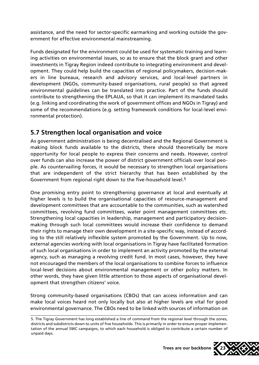assistance, and the need for sector-specific earmarking and working outside the government for effective environmental mainstreaming.

Funds designated for the environment could be used for systematic training and learning activities on environmental issues, so as to ensure that the block grant and other investments in Tigray Region indeed contribute to integrating environment and development. They could help build the capacities of regional policymakers, decision-makers in line bureaux, research and advisory services, and local-level partners in development (NGOs, community-based organisations, rural people) so that agreed environmental guidelines can be translated into practice. Part of the funds should contribute to strengthening the EPLAUA, so that it can implement its mandated tasks (e.g. linking and coordinating the work of government offices and NGOs in Tigray) and some of the recommendations (e.g. setting framework conditions for local-level environmental protection).

### **5.7 Strengthen local organisation and voice**

As government administration is being decentralised and the Regional Government is making block funds available to the districts, there should theoretically be more opportunity for local people to express their concerns and needs. However, control over funds can also increase the power of district government officials over local people. As countervailing forces, it would be necessary to strengthen local organisations that are independent of the strict hierarchy that has been established by the Government from regional right down to the five-household level.<sup>5</sup>

One promising entry point to strengthening governance at local and eventually at higher levels is to build the organisational capacities of resource-management and development committees that are accountable to the communities, such as watershed committees, revolving fund committees, water point management committees etc. Strengthening local capacities in leadership, management and participatory decisionmaking through such local committees would increase their confidence to demand their rights to manage their own development in a site-specific way, instead of according to the still relatively inflexible system promoted by the Government. Up to now, external agencies working with local organisations in Tigray have facilitated formation of such local organisations in order to implement an activity promoted by the external agency, such as managing a revolving credit fund. In most cases, however, they have not encouraged the members of the local organisations to combine forces to influence local-level decisions about environmental management or other policy matters. In other words, they have given little attention to those aspects of organisational development that strengthen citizens' voice.

Strong community-based organisations (CBOs) that can access information and can make local voices heard not only locally but also at higher levels are vital for good environmental governance. The CBOs need to be linked with sources of information on

<sup>5.</sup> The Tigray Government has long established a line of command from the regional level through the zones, districts and subdistricts down to units of five households. This is primarily in order to ensure proper implementation of the annual SWC campaigns, to which each household is obliged to contribute a certain number of unpaid days.

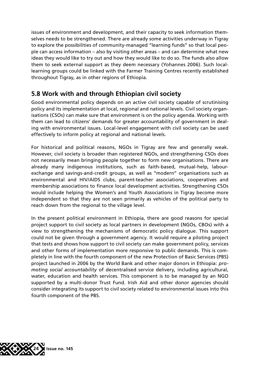issues of environment and development, and their capacity to seek information themselves needs to be strengthened. There are already some activities underway in Tigray to explore the possibilities of community-managed "learning funds" so that local people can access information – also by visiting other areas – and can determine what new ideas they would like to try out and how they would like to do so. The funds also allow them to seek external support as they deem necessary (Yohannes 2006). Such locallearning groups could be linked with the Farmer Training Centres recently established throughout Tigray, as in other regions of Ethiopia.

### **5.8 Work with and through Ethiopian civil society**

Good environmental policy depends on an active civil society capable of scrutinising policy and its implementation at local, regional and national levels. Civil society organisations (CSOs) can make sure that environment is on the policy agenda. Working with them can lead to citizens' demands for greater accountability of government in dealing with environmental issues. Local-level engagement with civil society can be used effectively to inform policy at regional and national levels.

For historical and political reasons, NGOs in Tigray are few and generally weak. However, civil society is broader than registered NGOs, and strengthening CSOs does not necessarily mean bringing people together to form new organisations. There are already many indigenous institutions, such as faith-based, mutual-help, labourexchange and savings-and-credit groups, as well as "modern" organisations such as environmental and HIV/AIDS clubs, parent-teacher associations, cooperatives and membership associations to finance local development activities. Strengthening CSOs would include helping the Women's and Youth Associations in Tigray become more independent so that they are not seen primarily as vehicles of the political party to reach down from the regional to the village level.

In the present political environment in Ethiopia, there are good reasons for special project support to civil society as local partners in development (NGOs, CBOs) with a view to strengthening the mechanisms of democratic policy dialogue. This support could not be given through a government agency. It would require a piloting project that tests and shows how support to civil society can make government policy, services and other forms of implementation more responsive to public demands. This is completely in line with the fourth component of the new Protection of Basic Services (PBS) project launched in 2006 by the World Bank and other major donors in Ethiopia: *promoting social accountability* of decentralised service delivery, including agricultural, water, education and health services. This component is to be managed by an NGO supported by a multi-donor Trust Fund. Irish Aid and other donor agencies should consider integrating its support to civil society related to environmental issues into this fourth component of the PBS.

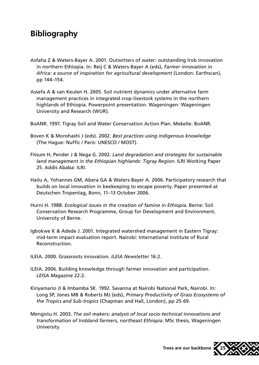# **Bibliography**

- Asfaha Z & Waters-Bayer A. 2001. Outwitters of water: outstanding Irob innovation in northern Ethiopia. In: Reij C & Waters-Bayer A (eds), *Farmer innovation in Africa: a source of inspiration for agricultural development* (London: Earthscan), pp 144–154.
- Assefa A & van Keulen H. 2005. Soil nutrient dynamics under alternative farm management practices in integrated crop-livestock systems in the northern highlands of Ethiopia. Powerpoint presentation. Wageningen: Wageningen University and Research (WUR).
- BoANR. 1997. Tigray Soil and Water Conservation Action Plan. Mekelle: BoANR.
- Boven K & Morohashi J (eds). 2002. *Best practices using indigenous knowledge* (The Hague: Nuffic / Paris: UNESCO / MOST).
- Fitsum H, Pender J & Nega G. 2002. *Land degradation and strategies for sustainable land management in the Ethiopian highlands: Tigray Region*. ILRI Working Paper 25. Addis Ababa: ILRI.
- Hailu A, Yohannes GM, Abera GA & Waters-Bayer A. 2006. Participatory research that builds on local innovation in beekeeping to escape poverty. Paper presented at Deutschen Tropentag, Bonn, 11–13 October 2006.
- Hurni H. 1988. *Ecological issues in the creation of famine in Ethiopia*. Berne: Soil Conservation Research Programme, Group for Development and Environment, University of Berne.
- Igbokwe K & Adede J. 2001. Integrated watershed management in Eastern Tigray: mid-term impact evaluation report. Nairobi: International Institute of Rural Reconstruction.
- ILEIA. 2000. Grassroots innovation. *ILEIA Newsletter* 16:2.
- ILEIA. 2006. Building knowledge through farmer innovation and participation. *LEISA Magazine* 22:2.
- Kinyamario JI & Imbamba SK. 1992. Savanna at Nairobi National Park, Nairobi. In: Long SP, Jones MB & Roberts MJ (eds), *Primary Productivity of Grass Ecosystems of the Tropics and Sub-tropics* (Chapman and Hall, London), pp 25-69.
- Mengistu H. 2003. *The soil makers: analysis of local socio-technical innovations and transformation of Irobland farmers, northeast Ethiopia*. MSc thesis, Wageningen University.



**Trees are our backbone**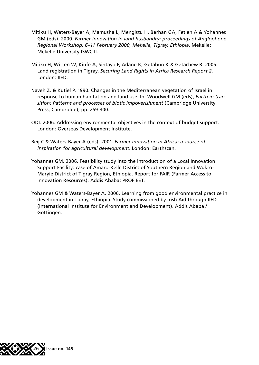- Mitiku H, Waters-Bayer A, Mamusha L, Mengistu H, Berhan GA, Fetien A & Yohannes GM (eds). 2000. *Farmer innovation in land husbandry: proceedings of Anglophone Regional Workshop, 6–11 February 2000, Mekelle, Tigray, Ethiopia*. Mekelle: Mekelle University ISWC II.
- Mitiku H, Witten W, Kinfe A, Sintayo F, Adane K, Getahun K & Getachew R. 2005. Land registration in Tigray. *Securing Land Rights in Africa Research Report 2*. London: IIED.
- Naveh Z. & Kutiel P. 1990. Changes in the Mediterranean vegetation of Israel in response to human habitation and land use. In: Woodwell GM (eds), *Earth in transition: Patterns and processes of biotic impoverishment* (Cambridge University Press, Cambridge), pp. 259-300.
- ODI. 2006. Addressing environmental objectives in the context of budget support. London: Overseas Development Institute.
- Reij C & Waters-Bayer A (eds). 2001. *Farmer innovation in Africa: a source of inspiration for agricultural development*. London: Earthscan.
- Yohannes GM. 2006. Feasibility study into the introduction of a Local Innovation Support Facility: case of Amaro-Kelle District of Southern Region and Wukro-Maryie District of Tigray Region, Ethiopia. Report for FAIR (Farmer Access to Innovation Resources). Addis Ababa: PROFIEET.
- Yohannes GM & Waters-Bayer A. 2006. Learning from good environmental practice in development in Tigray, Ethiopia. Study commissioned by Irish Aid through IIED (International Institute for Environment and Development). Addis Ababa / Göttingen.

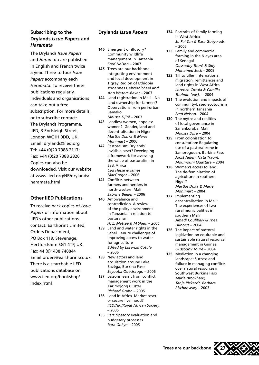#### **Subscribing to the Drylands** *Issue Papers* **and**  *Haramata*

The Drylands *Issue Papers* and *Haramata* are published in English and French twice a year. Three to four *Issue Papers* accompany each *Haramata*. To receive these publications regularly, individuals and organisations can take out a free subscription. For more details, or to subscribe contact: The Drylands Programme, IIED, 3 Endsleigh Street, London WC1H 0DD, UK. Email: drylands@iied.org Tel: +44 (0)20 7388 2117; Fax: +44 (0)20 7388 2826 Copies can also be downloaded. Visit our website at www.iied.org/NR/drylands/ haramata.html

#### **Other IIED Publications**

To receive back copies of *Issue Papers* or information about IIED's other publications, contact: Earthprint Limited, Orders Department, PO Box 119, Stevenage, Hertfordshire SG1 4TP, UK. Fax: 44 (0)1438 748844 Email orders@earthprinr.co.uk There is a searchable IIED publications database on www.iied.org/bookshop/ index.html

#### **Drylands** *Issue Papers*

- **146** Emergent or illusory? Community wildlife management in Tanzania *Fred Nelson* – 2007
- **145** Trees are our backbone Integrating environment and local development in Tigray Region of Ethiopia *Yohannes GebreMichael and Ann Waters-Bayer* – 2007
- **144** Land registration in Mali No land ownership for farmers? Observations from peri-urban Bamako *Moussa Djiré –* 2007
- **143** Landless women, hopeless women? Gender, land and decentralisation in Niger *Marthe Diarra & Marie Monimart* – 2006
- **142** Pastoralism: Drylands' invisible asset? Developing a framework for assessing the value of pastoralism in East Africa *Ced Hesse & James MacGregor* – 2006
- **141** Conflicts between farmers and herders in north-western Mali *Sabrina Beeler* – 2006
- **140** Ambivalence and contradiction. A review of the policy environment in Tanzania in relation to pastoralism *A. Z. Mattee & M Shem – 2006*
- **139** Land and water rights in the Sahel. Tenure challenges of improving access to water for agriculture *Edited by Lorenzo Cotula*  – 2006
- **138** New actors and land acquisition around Lake Bazèga, Burkina Faso *Seyouba Ouédraogo* – 2006
- **137** Lessons learnt from conflict management work in the Karimojong Cluster *Richard Grahn* – 2005
- **136** Land in Africa. Market asset or secure livelihood? *IIED/NRI/Royal African Society* – 2005
- **135** Participatory evaluation and budgetary processes *Bara Guèye* – 2005
- **134** Portraits of family farming in West Africa *Su Fei Tan & Bara Guèye* eds – 2005
- **133** Family and commercial farming in the Niayes area of Senegal *Oussouby Touré & Sidy Mohamed Seck* – 2005
- **132** Till to tiller: International migration, remittances and land rights in West Africa *Lorenzo Cotula & Camilla Toulmin (eds),* – 2004
- **131** The evolution and impacts of community-based ecotourism in northern Tanzania *Fred Nelson* – 2004
- **130** The myths and realities of local governance in Sanankoroba, Mali *Moussa Djiré* – 2004
- **129** From colonisation to consultation: Regulating use of a pastoral zone in Samorogouan, Burkina Faso *Joost Nelen, Nata Traoré, Moumouni Ouattara* – 2004
- **128** Women's access to land: The de-feminisation of agriculture in southern Niger? *Marthe Doka & Marie* 
	- *Monimart*  2004
- **127** Implementing decentralisation in Mali: The experiences of two rural municipalities in southern Mali *Amadi Coulibaly & Thea Hilhorst* – 2004
- **126** The impact of pastoral legislation on equitable and sustainable natural resource management in Guinea *Oussouby Touré* – 2004
- **125** Mediation in a changing landscape: Success and failure in managing conflicts over natural resources in Southwest Burkina Faso *Maria Brockhaus, Tanja Pickardt, Barbara Rischkowsky* – 2003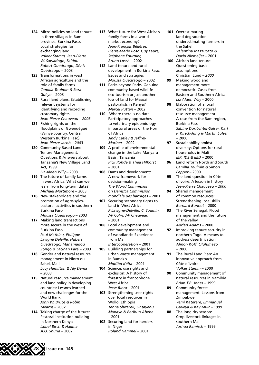- **124** Micro-policies on land tenure in three villages in Bam province, Burkina Faso: Local strategies for exchanging land *Volker Stamm, Jean-Pierre W. Sawadogo, Saidou Robert Ouédraogo, Dénis Ouédraogo* – 2003
- **123** Transformations in west African agriculture and the role of family farms *Camilla Toulmin & Bara Guèye* – 2003
- **122** Rural land plans: Establishing relevant systems for identifying and recording customary rights *Jean-Pierre Chauveau* – *2003*
- **121** Fishing rights on the floodplains of Gwendégué (Winye country, Central Western Burkina Faso) *Jean-Pierre Jacob – 2003*
- **120** Community Based Land Tenure Management. Questions & Answers about Tanzania's New Village Land Act, 1999 *Liz Alden Wily* – 2003
- **119** The future of family farms in west Africa. What can we learn from long-term data? *Michael Mortimore* – 2003
- **118** New stakeholders and the promotion of agro-sylvopastoral activities in southern Burkina Faso *Moussa Ouédraogo* – 2003
- **117** Making land transactions more secure in the west of Burkina Faso *Paul Mathieu, Philippe Lavigne Delville, Hubert Ouédraogo, Mahamadou Zongo & Lacinan Paré* – 2003
- **116** Gender and natural resource management in Nioro du Sahel, Mali *Lucy Hamilton & Aly Dama* – 2003
- **115** Natural resource management and land policy in developing countries: Lessons learned and new challenges for the World Bank *John W. Bruce & Robin Mearns* – 2002
- **114** Taking charge of the future: Pastoral institution building in Northern Kenya *Isobel Birch & Halima A.O. Shuria* – 2002
- **113** What future for West Africa's family farms in a world market economy? *Jean-François Bélières, Pierre-Marie Bosc, Guy Faure, Stéphane Fournier, Bruno Losch* – 2002
- **112** Land tenure and rural development in Burkina Faso: Issues and strategies *Moussa Ouédraogo* – 2002
- **111** Parks beyond Parks: Genuine community-based wildlife eco-tourism or just another loss of land for Maasai pastoralists in Kenya? *Marcel Rutten* – 2002
- **110** Where there is no data: Participatory approaches to veterinary epidemiology in pastoral areas of the Horn of Africa *Andy Catley & Jeffrey Mariner* – 2002
- **109** A profile of environmental change in the Lake Manyara Basin, Tanzania *Rick Rohde & Thea Hilhorst* – 2001
- **108** Dams and development: A new framework for decision-making *The World Commission on Dams/La Commission mondiale des barrages* – 2001
- **107** Securing secondary rights to land in West Africa *P Lavigne-Delville, C. Toumin, J-P Colin, J-P Chauveau* – 2001
- **106** Local development and community management of woodlands: Experience from Mali *Intercoopération* – 2001
- **105** Building partnerships for urban waste management in Bamako *Modibo Kéita* – 2001
- **104** Science, use rights and exclusion: A history of forestry in francophone West Africa *Jesse Ribot* – 2001
- **103** Strengthening user-rights over local resources in Wollo, Ethiopia *Tenna Shitarek, Sintayehu Manaye & Berihun Abebe* – 2001
- **102** Securing land for herders in Niger *Roland Hammel* – 2001
- **101** Overestimating land degradation, underestimating farmers in the Sahel *Valentina Mazzucato & David Niemeijer* – 2001
- **100** African land tenure: Questioning basic assumptions Christian Lund *– 2000*
- **99** Making woodland management more democratic: Cases from Eastern and Southern Africa *Liz Alden Wily* – 2000
- **98** Elaboration of a local convention for natural resource management: A case from the Bam region, Burkina Faso *Sabine Dorlöchter-Sulser, Karl P. Kirsch-Jung & Martin Sulser*  – 2000
- **97** Sustainability amidst diversity: Options for rural households in Mali *IER, IDS & IIED* – 2000
- **96** Land reform North and South *Camilla Toulmin & Simon Pepper* – 2000
- **95** The land question in Côte d'Ivoire: A lesson in history *Jean-Pierre Chauveau – 2000*
- **94** Shared management of common resources: Strengthening local skills *Bernard Bonnet* – 2000
- **93** The River Senegal: Flood management and the future of the valley *Adrian Adams* – 2000
- **92** Improving tenure security in northern Togo: A means to address desertification *Alinon Koffi Olulumazo*   $-2000$
- **91** The Rural Land Plan: An innovative approach from Côte d'Ivoire *Volker Stamm* – 2000
- **90** Community management of natural resources in Namibia *Brian T.B. Jones* – 1999
- **89** Community forest management: Lessons from Zimbabwe *Yemi Katerere, Emmanuel*

*Guveya & Kay Muir* – 1999

**88** The long dry season: Crop-livestock linkages in southern Mali *Joshua Ramisch* – 1999

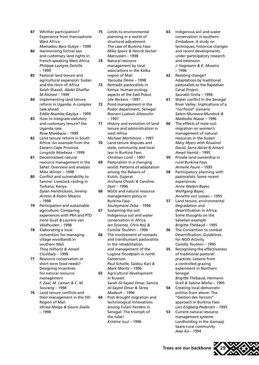- **87** Whither participation? Experience from francophone West Africa *Mamadou Bara Guèye* – 1999
- **86** Harmonising formal law and customary land rights in French-speaking West Africa *Philippe Lavigne Delville*  – 1999
- **85** Pastoral land tenure and agricultural expansion: Sudan and the Horn of Africa *Salah Shazali, Abdel Ghaffar M.Ahmed* – 1999
- **84** Implementing land tenure reform in Uganda: A complex task ahead *Eddie Nsamba-Gayiiya* – 1999
- **83** How to integrate statutory and customary tenure? the Uganda case *Rose Mwebaza* – 1999
- **82** Land tenure reform in South Africa: An example from the Eastern Cape Province*. Lungisile Ntsebeza* – 1999
- **81** Decentralised natural resource management in the Sahel: Overview and analysis *Mike Winter* – 1998
- **80** Conflict and vulnerability to famine: Livestock raiding in Turkana, Kenya *Dylan Hendrickson, Jeremy Armon & Robin Mearns*  – 1998
- **79** Participation and sustainable agriculture: Comparing experiences with PRA and PTD *Irene Guijt & Laurens van Veldhuizen* – 1998
- **78** Elaborating a local convention for managing village woodlands in southern Mali *Thea Hilhorst & Amadi Coulibaly* – 1998
- **77** Resource conservation or short term food needs? Designing incentives for natural resource management *F. Zaal, M. Laman & C. M. Sourang* – 1998
- **76** Land tenure conflicts and their management in the 5th Region of Mali *Idrissa Maïga & Gouro Diallo*  – 1998
- **75** Limits to environmental planning in a world of structural adjustment: The case of Burkina Faso *Mike Speirs & Henrik Secher Marcussen* – 1998
- **74** Natural resource management by local associations in the Kelka region of Mali *Yacouba Dème* – 1998
- **73** Nomadic pastoralists in Kenya: Human ecology aspects of the East-Pokot *Ute Reckers* – 1997
- **72** Pond management in the Podor department, Senegal *Rosnert Ludovic Alissoutin*  – 1997
- **71** History and evolution of land tenure and administration in west Africa *Michael Mortimore* – 1997
- **70** Land tenure disputes and state, community and local law in Burkina Faso *Christian Lund* – 1997
- **69** Pastoralism in a changing world: Patterns of adaptation among the Rabaris of Kutch, Gujerat *Archana Choski & Caroline Dyer* – 1996
- **68** NGOs and natural resource management policy in Burkina Faso *Souleymane Zeba* – 1996
- **67** Sustaining the soil: Indigenous soil and water conservation in Africa *Ian Scoones, Chris Reij & Camilla Toulmin* – 1996
- **66** The involvement of nomadic and transhumant pastoralists in the rehabilitation and management of the Logone floodplain in north Cameroon *Paul Scholte, Saidou Kari & Mark Moritz* – 1996
- **65** Agricultural development in Kuwait *Sarah Al-Sayed Omar, Samira Al-Sayed Omar & Tareq Madouh* – 1996
- **64** Post drought migration and technological innovations among Fulani herders in Senegal: The triumph of the tube! *Kristine Juul* – 1996
- **63** Indigenous soil and water conservation in southern Zimbabwe: A study on techniques, historical changes and recent developments under participatory research and extension *J. Hagmann & K. Muwira*  – 1996
- **62** Resisting change? Adaptations by traditional pastoralists to the Rajasthan Canal Project. *Saurabh Sinha* – 1996
- **61** Water conflict in the Senegal River Valley: Implications of a "no-flood" scenario *Salem Muneera-Murdock & Madiodio Niasse* – 1996
- **60** The effects of male outmigration on women's management of natural resources in the Sudan *Mary Myers with Rosalind David, Sarra Akrat & Amani Awad Hamid* – 1995
- **59** Private land ownership in rural Burkina Faso *Armelle Faure* – 1995
- **58** Participatory planning with pastoralists: Some recent experiences *Anne Waters-Bayer, Wolfgang Bayer, Annette von Lossau* – 1995
- **57** Land tenure, environmental degradation and desertification in Africa: Some thoughts on the Sahelian example *Brigitte Thébaud* – 1995
- **56** The Convention to combat Desertification: Guidelines for NGO Activity *Camilla Toulmin* – 1995
- **55** Recognising the effectiveness of traditional pastoral practices: Lessons from a controlled grazing experiment in Northern Senegal *Brigitte Thébaud, Hermann*
- *Grell & Sabine Miehe*  1995 **54** Creating local democratic politics from above: The "Gestion des Terroirs" approach in Burkina Faso
- *Lars Engberg Pedersen*  1995 **53** Current natural resource management systems: Landholding in the Gamaaji Saare rural community *Awa Ka* – 1994



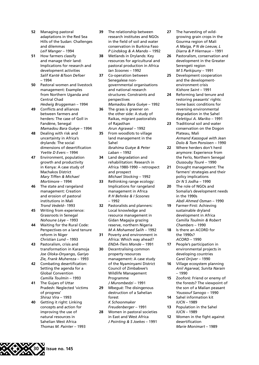- **52** Managing pastoral adaptations in the Red Sea Hills of the Sudan: Challenges and dilemmas *Leif Manger* – 1994
- **51** How farmers classify and manage their land: Implications for research and development activities *Salif Kanté &Toon Defoer*  – 1994
- **50** Pastoral women and livestock management: Examples from Northern Uganda and Central Chad *Hedwig Bruggeman* – 1994
- **49** Conflicts and alliances between farmers and herders: The case of Goll in Fandène, Senegal *Mamadou Bara Guèye* – 1994
- **48** Dealing with risk and uncertainty in Africa's drylands: The social dimensions of desertification *Yvette D Evers* – 1994
- **47** Environment, population growth and productivity in Kenya: A case study of Machakos District *Mary Tiffen & Michael Mortimore* – 1994
- **46** The state and rangeland management: Creation and erosion of pastoral institutions in Mali *Trond Vedeld–* 1993
- **45** Writing from experience: Grassroots in Senegal *Nohoune Lèye* – 1993
- **44** Waiting for the Rural Code: Perspectives on a land tenure reform in Niger *Christian Lund* – 1993
- **43** Pastoralism, crisis and transformation in Karamoja *Joe Oloka-Onyango, Gariyo Zie, Frank Muhereza* – 1993
- **42** Combating desertification: Setting the agenda for a Global Convention *Camilla Toulmin* – 1993
- **41** The Gujars of Uttar Pradesh: Neglected 'victims of progress' *Shiraz Vira* – 1993
- **40** Getting it right: Linking concepts and action for improving the use of natural resources in Sahelian West Africa *Thomas M. Painter* – 1993
- **39** The relationship between research institutes and NGOs in the field of soil and water conservation in Burkina Faso *P Lindskog & A Mando* – 1992
- **38** Wetlands in Drylands: Key resources for agricultural and pastoral production in Africa *Ian Scoones* – 1992
- **37** Co-operation between Senegalese nongovernmental organisations and national research structures: Constraints and perspectives *Mamadou Bara Guèye* – 1992
- **36** The grass is greener on the other side: A study of Raikas, migrant pastoralists of Rajasthan *Arun Agrawal* – 1992
- **35** From woodlots to village land management in the Sahel *Ibrahima Guèye & Peter Laban* – 1992
- **34** Land degradation and rehabilitation: Research in Africa 1980-1990 – retrospect and prospect *Michael Stocking* – 1992
- **33** Rethinking range ecology: Implications for rangeland management in Africa *R H Behnke & I Scoones*  – 1992
- **32** Pastoralists and planners: Local knowledge and resource management in Gidan Magajia grazing reserve, northern Nigeria *M A Mohamed Salih* – 1992
- **31** Poverty and environment in Africa: Which way ahead? *ENDA-Tiers Monde* – 1991
- **30** Decentralising common property resources management: A case study of the Nyaminyami District Council of Zimbabwe's Wildlife Management Programme *J Murombedzi* – 1991
- **29** Mbegué: The disingenous destruction of a Sahelian forest *K Schoonmaker Freudenberger* – 1991
- **28** Women in pastoral societies in East and West Africa *J Pointing & S Joekes* – 1991
- **27** The harvesting of wildgrowing grain crops in the Gourma region of Mali *A Maiga, P N de Leeuw, L Diarra & P Hiernaux* – 1991
- **26** Pastoralism, conservation and development in the Greater Serengeti region *M S Parkipuny* – 1991
- **25** Development cooperation and the developmentenvironment crisis *Kishore Saint –* 1991
- **24** Reforming land tenure and restoring peasants' rights: Some basic conditions for reversing environmental degradation in the Sahel *Keletigui A. Mariko* – 1991
- **23** Traditional soil and water conservation on the Dogon Plateau, Mali *Armand Kassogué with Jean Dolo & Tom Ponsioen* – 1990
- **22** Where herders don't herd anymore: Experience from the Ferlo, Northern Senegal *Oussouby Touré* – 1990
- **21** Drought management: The farmers' strategies and their policy implications *Dr N S Jodha* – 1990
- **20** The role of NGOs and Somalia's development needs in the 1990s *Abdi Ahmed Osman* – 1990
- **19** Farmer-First: Achieving sustainable dryland development in Africa *Camilla Toulmin & Robert Chambers* – 1990
- **18** Is there an ACORD for the 1990s? *ACORD* – 1990
- **17** People's participation in environmental projects in developing countries *Carel Drijver* – 1990
- **16** Village ecosystem planning *Anil Agarwal, Sunita Narain*  – 1990
- **15** Zooforé: Friend or enemy of the forests? The viewpoint of the son of a Malian peasant *Youssouf Sanogo* – 1990
- **14** Sahel information kit *IUCN* – 1989
- **13** Population in the Sahel *IUCN* – 1989
- **12** Women in the fight against desertification *Marie Monimart* – 1989

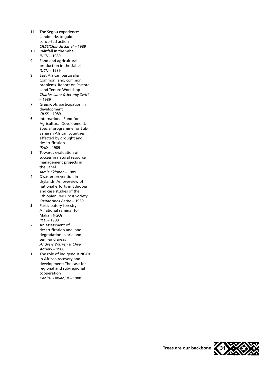- **11** The Segou experience: Landmarks to guide concerted action *CILSS/Club du Sahel –* 1989
- **10** Rainfall in the Sahel *IUCN* – 1989
- **9** Food and agricultural production in the Sahel *IUCN –* 1989
- **8** East African pastoralism: Common land, common problems. Report on Pastoral Land Tenure Workshop *Charles Lane & Jeremy Swift*  – 1989
- **7** Grassroots participation in development *CILSS* – 1989
- **6** International Fund for Agricultural Development: Special programme for Sub-Saharan African countries affected by drought and desertification *IFAD –* 1989
- **5** Towards evaluation of success in natural resource management projects in the Sahel *Jamie Skinner* – 1989
- **4** Disaster prevention in drylands: An overview of national efforts in Ethiopia and case studies of the Ethiopian Red Cross Society *Costantinos Berhe* – 1989
- **3** Participatory forestry A national seminar for Malian NGOs *IIED* – 1988
- **2** An assessment of desertification and land degradation in arid and semi-arid areas *Andrew Warren & Clive Agnew* – 1988
- **1** The role of indigenous NGOs in African recovery and development: The case for regional and sub-regional cooperation *Kabiru Kinyanjui* – 1988



**Trees are our backbone 31**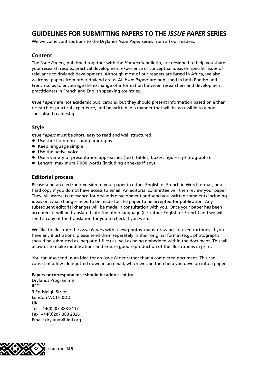### **GUIDELINES FOR SUBMITTING PAPERS TO THE** *ISSUE PAPER* **SERIES**

We welcome contributions to the Drylands *Issue Paper* series from all our readers.

#### **Content**

The *Issue Papers*, published together with the *Haramata* bulletin, are designed to help you share your research results, practical development experience or conceptual ideas on specific issues of relevance to drylands development. Although most of our readers are based in Africa, we also welcome papers from other dryland areas. All *Issue Papers* are published in both English and French so as to encourage the exchange of information between researchers and development practitioners in French and English speaking countries.

*Issue Papers* are not academic publications, but they should present information based on either research or practical experience, and be written in a manner that will be accessible to a nonspecialised readership.

#### **Style**

*Issue Papers* must be short, easy to read and well structured.

- $\bullet$  Use short sentences and paragraphs.
- Keep language simple.
- $\bullet$  Use the active voice.
- $\bullet$  Use a variety of presentation approaches (text, tables, boxes, figures, photographs).
- Length: maximum 7,000 words (including annexes if any).

#### **Editorial process**

Please send an electronic version of your paper in either English or French in Word format, or a hard copy if you do not have access to email. An editorial committee will then review your paper. They will assess its relevance for drylands development and send you written comments including ideas on what changes need to be made for the paper to be accepted for publication. Any subsequent editorial changes will be made in consultation with you. Once your paper has been accepted, it will be translated into the other language (i.e. either English or French) and we will send a copy of the translation for you to check if you wish.

We like to illustrate the *Issue Papers* with a few photos, maps, drawings or even cartoons. If you have any illustrations, please send them separately in their original format (e.g., photographs should be submitted as jpeg or gif files) as well as being embedded within the document. This will allow us to make modifications and ensure good reproduction of the illustrations in print.

You can also send us an idea for an *Issue Paper* rather than a completed document. This can consist of a few ideas jotted down in an email, which we can then help you develop into a paper.

#### **Papers or correspondence should be addressed to:**

Drylands Programme IIED 3 Endsleigh Street London WC1H 0DD UK Tel: +44(0)207 388 2117 Fax: +44(0)207 388 2826 Email: drylands@iied.org